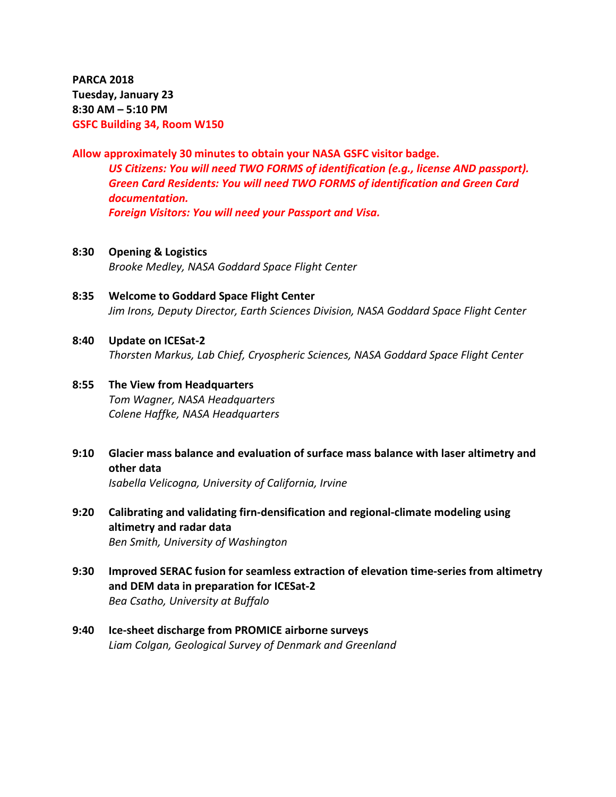**PARCA 2018 Tuesday, January 23 8:30 AM – 5:10 PM GSFC Building 34, Room W150**

# **Allow approximately 30 minutes to obtain your NASA GSFC visitor badge.** *US Citizens: You will need TWO FORMS of identification (e.g., license AND passport). Green Card Residents: You will need TWO FORMS of identification and Green Card documentation.*

*Foreign Visitors: You will need your Passport and Visa.*

- **8:30 Opening & Logistics** *Brooke Medley, NASA Goddard Space Flight Center*
- **8:35 Welcome to Goddard Space Flight Center** *Jim Irons, Deputy Director, Earth Sciences Division, NASA Goddard Space Flight Center*

### **8:40 Update on ICESat-2**

*Thorsten Markus, Lab Chief, Cryospheric Sciences, NASA Goddard Space Flight Center*

# **8:55 The View from Headquarters** *Tom Wagner, NASA Headquarters Colene Haffke, NASA Headquarters*

**9:10 Glacier mass balance and evaluation of surface mass balance with laser altimetry and other data**

*Isabella Velicogna, University of California, Irvine*

- **9:20 Calibrating and validating firn-densification and regional-climate modeling using altimetry and radar data** *Ben Smith, University of Washington*
- **9:30 Improved SERAC fusion for seamless extraction of elevation time-series from altimetry and DEM data in preparation for ICESat-2** *Bea Csatho, University at Buffalo*
- **9:40 Ice-sheet discharge from PROMICE airborne surveys** *Liam Colgan, Geological Survey of Denmark and Greenland*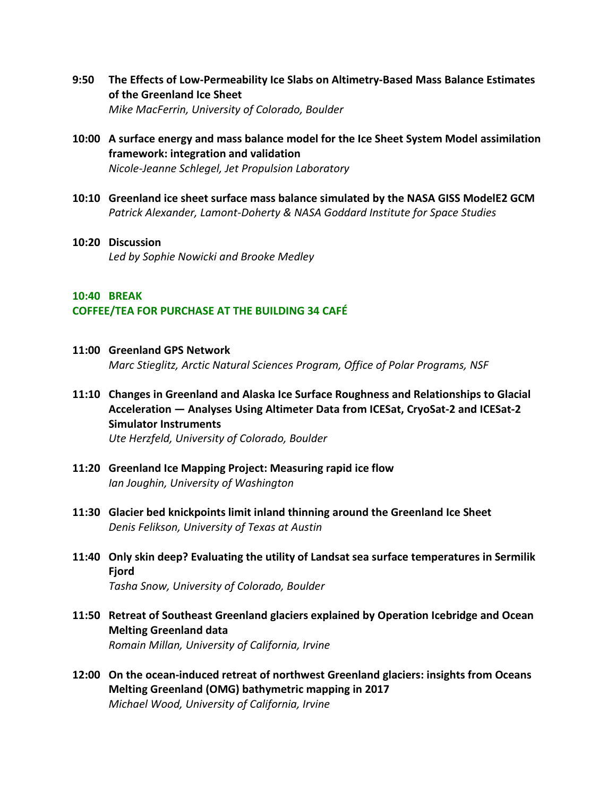- **9:50 The Effects of Low-Permeability Ice Slabs on Altimetry-Based Mass Balance Estimates of the Greenland Ice Sheet** *Mike MacFerrin, University of Colorado, Boulder*
- **10:00 A surface energy and mass balance model for the Ice Sheet System Model assimilation framework: integration and validation** *Nicole-Jeanne Schlegel, Jet Propulsion Laboratory*
- **10:10 Greenland ice sheet surface mass balance simulated by the NASA GISS ModelE2 GCM** *Patrick Alexander, Lamont-Doherty & NASA Goddard Institute for Space Studies*
- **10:20 Discussion** *Led by Sophie Nowicki and Brooke Medley*

# **10:40 BREAK COFFEE/TEA FOR PURCHASE AT THE BUILDING 34 CAFÉ**

**11:00 Greenland GPS Network**

*Marc Stieglitz, Arctic Natural Sciences Program, Office of Polar Programs, NSF*

- **11:10 Changes in Greenland and Alaska Ice Surface Roughness and Relationships to Glacial Acceleration — Analyses Using Altimeter Data from ICESat, CryoSat-2 and ICESat-2 Simulator Instruments** *Ute Herzfeld, University of Colorado, Boulder*
- **11:20 Greenland Ice Mapping Project: Measuring rapid ice flow** *Ian Joughin, University of Washington*
- **11:30 Glacier bed knickpoints limit inland thinning around the Greenland Ice Sheet** *Denis Felikson, University of Texas at Austin*
- **11:40 Only skin deep? Evaluating the utility of Landsat sea surface temperatures in Sermilik Fjord**

*Tasha Snow, University of Colorado, Boulder*

- **11:50 Retreat of Southeast Greenland glaciers explained by Operation Icebridge and Ocean Melting Greenland data** *Romain Millan, University of California, Irvine*
- **12:00 On the ocean-induced retreat of northwest Greenland glaciers: insights from Oceans Melting Greenland (OMG) bathymetric mapping in 2017** *Michael Wood, University of California, Irvine*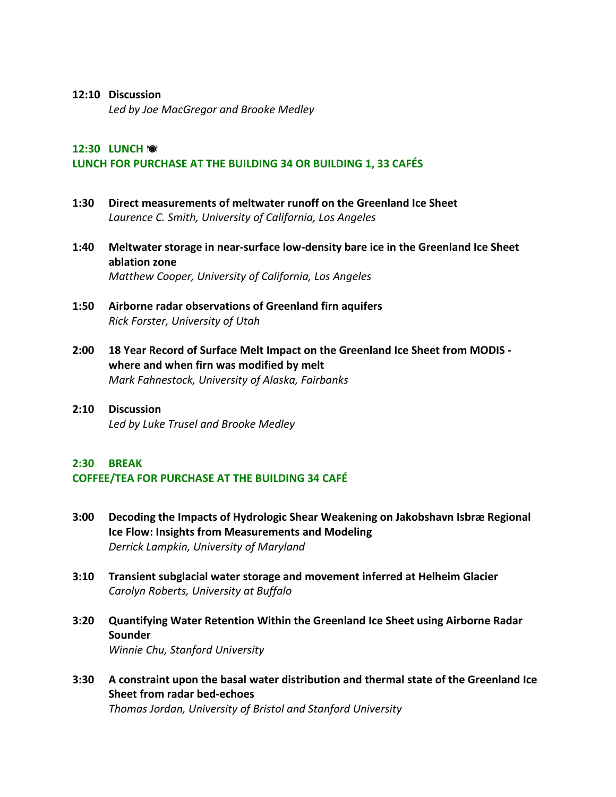#### **12:10 Discussion**

*Led by Joe MacGregor and Brooke Medley*

# **12:30 LUNCH LUNCH FOR PURCHASE AT THE BUILDING 34 OR BUILDING 1, 33 CAFÉS**

- **1:30 Direct measurements of meltwater runoff on the Greenland Ice Sheet** *Laurence C. Smith, University of California, Los Angeles*
- **1:40 Meltwater storage in near-surface low-density bare ice in the Greenland Ice Sheet ablation zone** *Matthew Cooper, University of California, Los Angeles*
- **1:50 Airborne radar observations of Greenland firn aquifers** *Rick Forster, University of Utah*
- **2:00 18 Year Record of Surface Melt Impact on the Greenland Ice Sheet from MODIS where and when firn was modified by melt** *Mark Fahnestock, University of Alaska, Fairbanks*
- **2:10 Discussion** *Led by Luke Trusel and Brooke Medley*

# **2:30 BREAK**

# **COFFEE/TEA FOR PURCHASE AT THE BUILDING 34 CAFÉ**

- **3:00 Decoding the Impacts of Hydrologic Shear Weakening on Jakobshavn Isbræ Regional Ice Flow: Insights from Measurements and Modeling** *Derrick Lampkin, University of Maryland*
- **3:10 Transient subglacial water storage and movement inferred at Helheim Glacier** *Carolyn Roberts, University at Buffalo*
- **3:20 Quantifying Water Retention Within the Greenland Ice Sheet using Airborne Radar Sounder**

*Winnie Chu, Stanford University*

**3:30 A constraint upon the basal water distribution and thermal state of the Greenland Ice Sheet from radar bed-echoes** *Thomas Jordan, University of Bristol and Stanford University*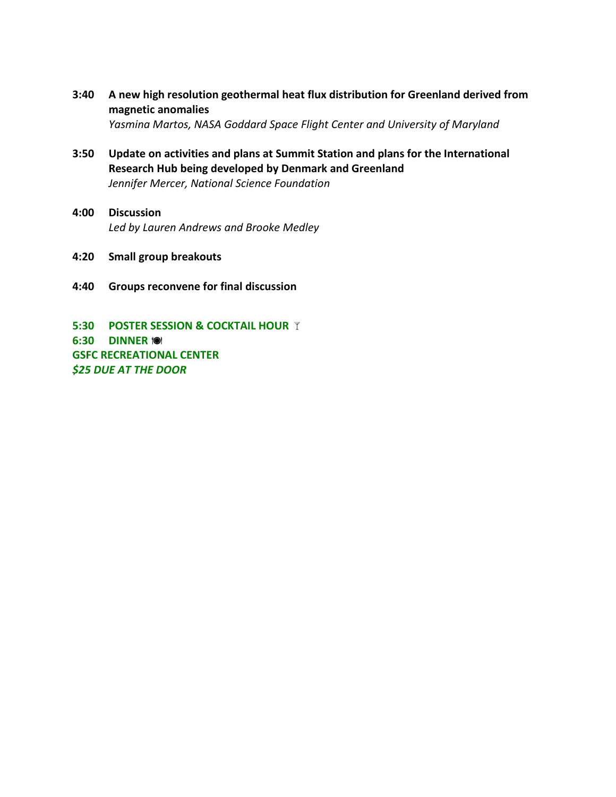**3:40 A new high resolution geothermal heat flux distribution for Greenland derived from magnetic anomalies** *Yasmina Martos, NASA Goddard Space Flight Center and University of Maryland*

**3:50 Update on activities and plans at Summit Station and plans for the International Research Hub being developed by Denmark and Greenland** *Jennifer Mercer, National Science Foundation*

- **4:00 Discussion** *Led by Lauren Andrews and Brooke Medley*
- **4:20 Small group breakouts**
- **4:40 Groups reconvene for final discussion**

**5:30 POSTER SESSION & COCKTAIL HOUR 6:30 DINNER GSFC RECREATIONAL CENTER** *\$25 DUE AT THE DOOR*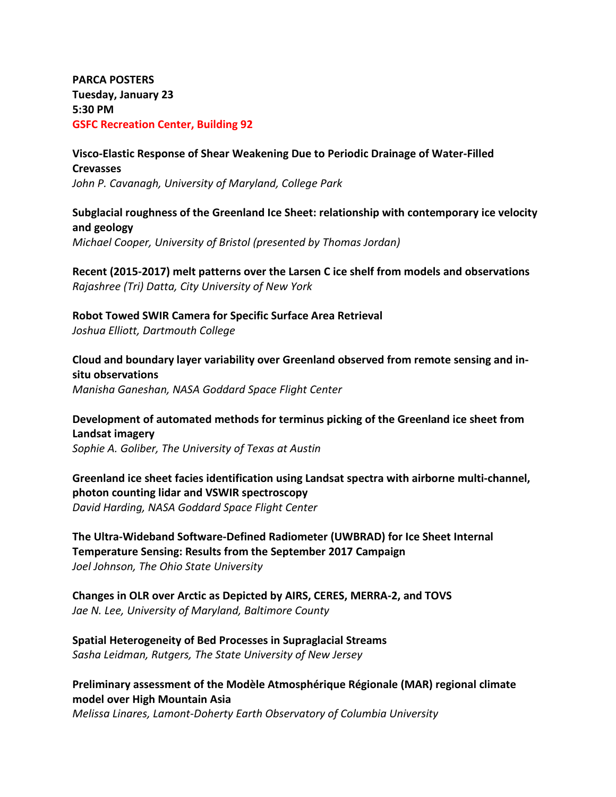**PARCA POSTERS Tuesday, January 23 5:30 PM GSFC Recreation Center, Building 92**

# **Visco-Elastic Response of Shear Weakening Due to Periodic Drainage of Water-Filled Crevasses** *John P. Cavanagh, University of Maryland, College Park*

**Subglacial roughness of the Greenland Ice Sheet: relationship with contemporary ice velocity and geology** *Michael Cooper, University of Bristol (presented by Thomas Jordan)*

**Recent (2015-2017) melt patterns over the Larsen C ice shelf from models and observations** *Rajashree (Tri) Datta, City University of New York*

**Robot Towed SWIR Camera for Specific Surface Area Retrieval** *Joshua Elliott, Dartmouth College*

**Cloud and boundary layer variability over Greenland observed from remote sensing and insitu observations** *Manisha Ganeshan, NASA Goddard Space Flight Center*

**Development of automated methods for terminus picking of the Greenland ice sheet from Landsat imagery**

*Sophie A. Goliber, The University of Texas at Austin* 

**Greenland ice sheet facies identification using Landsat spectra with airborne multi-channel, photon counting lidar and VSWIR spectroscopy** *David Harding, NASA Goddard Space Flight Center*

**The Ultra-Wideband Software-Defined Radiometer (UWBRAD) for Ice Sheet Internal Temperature Sensing: Results from the September 2017 Campaign** *Joel Johnson, The Ohio State University*

**Changes in OLR over Arctic as Depicted by AIRS, CERES, MERRA-2, and TOVS** *Jae N. Lee, University of Maryland, Baltimore County*

**Spatial Heterogeneity of Bed Processes in Supraglacial Streams** *Sasha Leidman, Rutgers, The State University of New Jersey*

**Preliminary assessment of the Modèle Atmosphérique Régionale (MAR) regional climate model over High Mountain Asia** 

*Melissa Linares, Lamont-Doherty Earth Observatory of Columbia University*